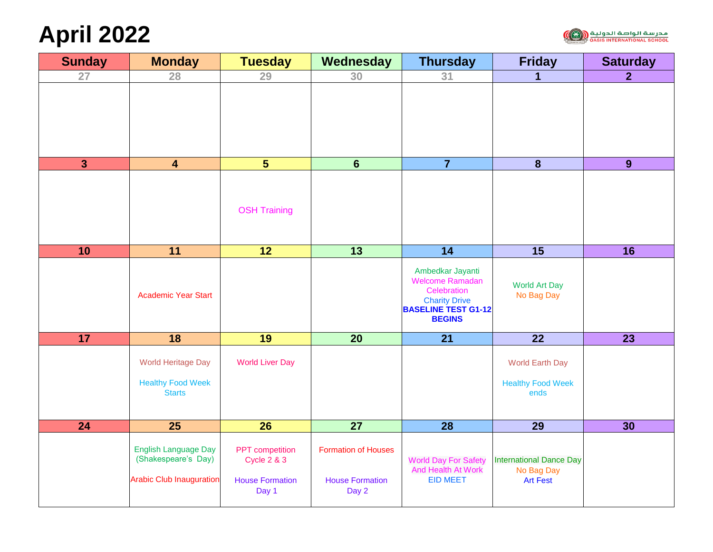# **April 2022**



| <b>Sunday</b> | <b>Monday</b>                                                                         | <b>Tuesday</b>                                                               | Wednesday                                                     | <b>Thursday</b>                                                                                                                  | <b>Friday</b>                                                   | <b>Saturday</b> |
|---------------|---------------------------------------------------------------------------------------|------------------------------------------------------------------------------|---------------------------------------------------------------|----------------------------------------------------------------------------------------------------------------------------------|-----------------------------------------------------------------|-----------------|
| 27            | 28                                                                                    | 29                                                                           | 30                                                            | 31                                                                                                                               | 1                                                               | 2 <sup>1</sup>  |
|               |                                                                                       |                                                                              |                                                               |                                                                                                                                  |                                                                 |                 |
| $\mathbf{3}$  | $\overline{\mathbf{4}}$                                                               | $\overline{\mathbf{5}}$                                                      | $6\phantom{a}$                                                | $\overline{7}$                                                                                                                   | $\boldsymbol{8}$                                                | 9               |
|               |                                                                                       | <b>OSH Training</b>                                                          |                                                               |                                                                                                                                  |                                                                 |                 |
| 10            | 11                                                                                    | $\overline{12}$                                                              | 13                                                            | 14                                                                                                                               | $\overline{15}$                                                 | 16              |
|               | <b>Academic Year Start</b>                                                            |                                                                              |                                                               | Ambedkar Jayanti<br><b>Welcome Ramadan</b><br>Celebration<br><b>Charity Drive</b><br><b>BASELINE TEST G1-12</b><br><b>BEGINS</b> | <b>World Art Day</b><br>No Bag Day                              |                 |
| 17            | 18                                                                                    | 19                                                                           | $\overline{20}$                                               | $\overline{21}$                                                                                                                  | $\overline{22}$                                                 | 23              |
|               | <b>World Heritage Day</b><br><b>Healthy Food Week</b><br><b>Starts</b>                | <b>World Liver Day</b>                                                       |                                                               |                                                                                                                                  | <b>World Earth Day</b><br><b>Healthy Food Week</b><br>ends      |                 |
| 24            | 25                                                                                    | 26                                                                           | 27                                                            | 28                                                                                                                               | 29                                                              | 30              |
|               | <b>English Language Day</b><br>(Shakespeare's Day)<br><b>Arabic Club Inauguration</b> | PPT competition<br><b>Cycle 2 &amp; 3</b><br><b>House Formation</b><br>Day 1 | <b>Formation of Houses</b><br><b>House Formation</b><br>Day 2 | <b>World Day For Safety</b><br><b>And Health At Work</b><br><b>EID MEET</b>                                                      | <b>International Dance Day</b><br>No Bag Day<br><b>Art Fest</b> |                 |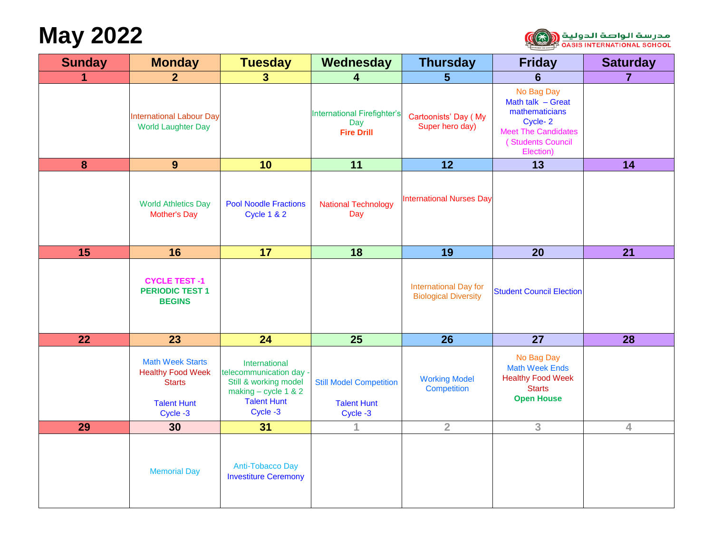# **May 2022**



| <b>Sunday</b>   | <b>Monday</b>                                                                                          | <b>Tuesday</b>                                                                                                              | Wednesday                                                        | <b>Thursday</b>                                             | <b>Friday</b>                                                                                                                | <b>Saturday</b> |
|-----------------|--------------------------------------------------------------------------------------------------------|-----------------------------------------------------------------------------------------------------------------------------|------------------------------------------------------------------|-------------------------------------------------------------|------------------------------------------------------------------------------------------------------------------------------|-----------------|
|                 | 2 <sup>1</sup>                                                                                         | 3 <sup>1</sup>                                                                                                              | 4                                                                | 5                                                           | 6                                                                                                                            | $\overline{7}$  |
|                 | <b>International Labour Day</b><br><b>World Laughter Day</b>                                           |                                                                                                                             | <b>International Firefighter's</b><br>Day<br><b>Fire Drill</b>   | Cartoonists' Day (My<br>Super hero day)                     | No Bag Day<br>Math talk - Great<br>mathematicians<br>Cycle-2<br><b>Meet The Candidates</b><br>(Students Council<br>Election) |                 |
| 8               | 9                                                                                                      | 10                                                                                                                          | 11                                                               | 12                                                          | 13                                                                                                                           | 14              |
|                 | <b>World Athletics Day</b><br><b>Mother's Day</b>                                                      | <b>Pool Noodle Fractions</b><br><b>Cycle 1 &amp; 2</b>                                                                      | <b>National Technology</b><br>Day                                | <b>International Nurses Day</b>                             |                                                                                                                              |                 |
| 15              | 16                                                                                                     | 17                                                                                                                          | 18                                                               | 19                                                          | 20                                                                                                                           | 21              |
|                 | <b>CYCLE TEST-1</b><br><b>PERIODIC TEST 1</b><br><b>BEGINS</b>                                         |                                                                                                                             |                                                                  | <b>International Day for</b><br><b>Biological Diversity</b> | <b>Student Council Election</b>                                                                                              |                 |
| $\overline{22}$ | 23                                                                                                     | 24                                                                                                                          | $\overline{25}$                                                  | $\overline{26}$                                             | $\overline{27}$                                                                                                              | $\overline{28}$ |
|                 | <b>Math Week Starts</b><br><b>Healthy Food Week</b><br><b>Starts</b><br><b>Talent Hunt</b><br>Cycle -3 | International<br>telecommunication day -<br>Still & working model<br>making - cycle 1 & 2<br><b>Talent Hunt</b><br>Cycle -3 | <b>Still Model Competition</b><br><b>Talent Hunt</b><br>Cycle -3 | <b>Working Model</b><br><b>Competition</b>                  | No Bag Day<br><b>Math Week Ends</b><br><b>Healthy Food Week</b><br><b>Starts</b><br><b>Open House</b>                        |                 |
| 29              | 30                                                                                                     | 31                                                                                                                          | 1                                                                | $\overline{2}$                                              | 3                                                                                                                            | $\overline{4}$  |
|                 | <b>Memorial Day</b>                                                                                    | Anti-Tobacco Day<br><b>Investiture Ceremony</b>                                                                             |                                                                  |                                                             |                                                                                                                              |                 |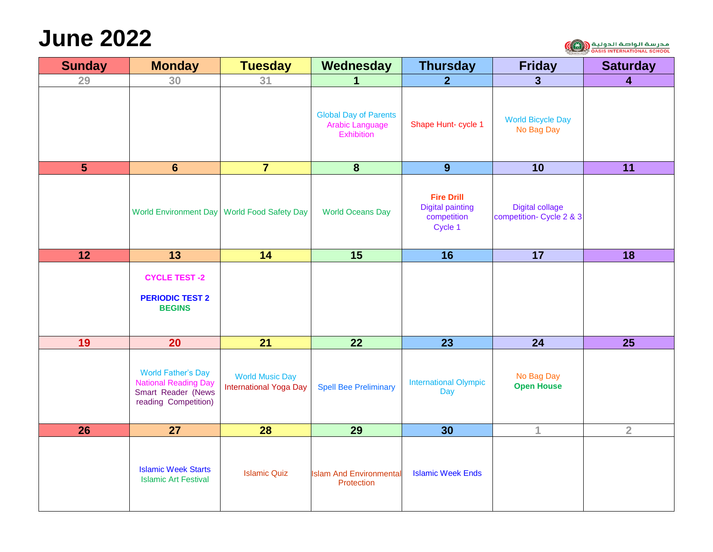#### **June 2022**



| <b>Sunday</b>  | <b>Monday</b>                                                                                          | <b>Tuesday</b>                                          | Wednesday                                                            | <b>Thursday</b>                                                        | <b>Friday</b>                                      | <b>Saturday</b>         |
|----------------|--------------------------------------------------------------------------------------------------------|---------------------------------------------------------|----------------------------------------------------------------------|------------------------------------------------------------------------|----------------------------------------------------|-------------------------|
| 29             | 30                                                                                                     | 31                                                      | 1                                                                    | 2 <sup>1</sup>                                                         | $\mathbf{3}$                                       | $\overline{\mathbf{4}}$ |
|                |                                                                                                        |                                                         | <b>Global Day of Parents</b><br>Arabic Language<br><b>Exhibition</b> | Shape Hunt- cycle 1                                                    | <b>World Bicycle Day</b><br>No Bag Day             |                         |
| $5\phantom{1}$ | $6\phantom{1}$                                                                                         | $\overline{7}$                                          | $\boldsymbol{8}$                                                     | 9                                                                      | 10                                                 | 11                      |
|                |                                                                                                        | World Environment Day World Food Safety Day             | <b>World Oceans Day</b>                                              | <b>Fire Drill</b><br><b>Digital painting</b><br>competition<br>Cycle 1 | <b>Digital collage</b><br>competition- Cycle 2 & 3 |                         |
| 12             | $\overline{13}$                                                                                        | 14                                                      | 15                                                                   | $\overline{16}$                                                        | $\overline{17}$                                    | 18                      |
|                | <b>CYCLE TEST -2</b><br><b>PERIODIC TEST 2</b><br><b>BEGINS</b>                                        |                                                         |                                                                      |                                                                        |                                                    |                         |
| 19             | 20                                                                                                     | 21                                                      | 22                                                                   | 23                                                                     | 24                                                 | 25                      |
|                | <b>World Father's Day</b><br><b>National Reading Day</b><br>Smart Reader (News<br>reading Competition) | <b>World Music Day</b><br><b>International Yoga Day</b> | <b>Spell Bee Preliminary</b>                                         | <b>International Olympic</b><br>Day                                    | No Bag Day<br><b>Open House</b>                    |                         |
| 26             | 27                                                                                                     | 28                                                      | 29                                                                   | 30                                                                     | 1                                                  | $\overline{2}$          |
|                | <b>Islamic Week Starts</b><br><b>Islamic Art Festival</b>                                              | <b>Islamic Quiz</b>                                     | <b>Islam And Environmental</b><br>Protection                         | <b>Islamic Week Ends</b>                                               |                                                    |                         |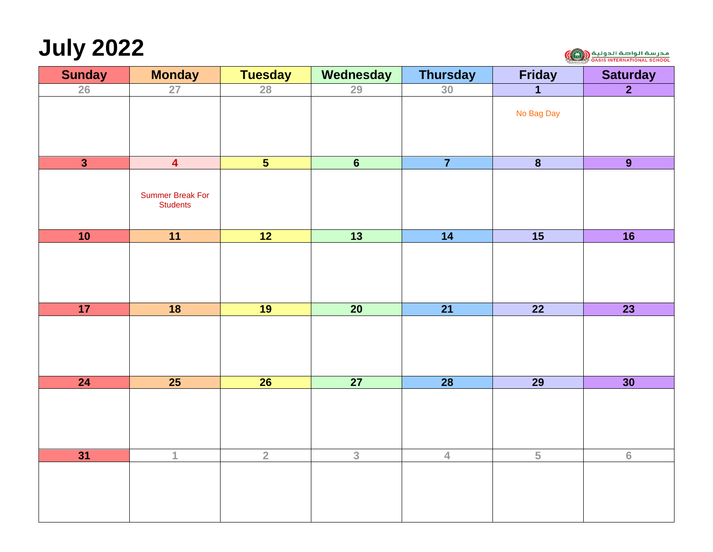# **July 2022**



| <b>Sunday</b>           | <b>Monday</b>                              | <b>Tuesday</b>          | Wednesday       | <b>Thursday</b> | <b>Friday</b>           | <b>Saturday</b>  |
|-------------------------|--------------------------------------------|-------------------------|-----------------|-----------------|-------------------------|------------------|
| 26                      | 27                                         | 28                      | 29              | 30              | $\mathbf{1}$            | $\overline{2}$   |
|                         |                                            |                         |                 |                 | No Bag Day              |                  |
| $\overline{\mathbf{3}}$ | $\overline{4}$                             | $\overline{\mathbf{5}}$ | $\overline{6}$  | $\overline{7}$  | $\overline{\mathbf{8}}$ | $\overline{9}$   |
|                         | <b>Summer Break For</b><br><b>Students</b> |                         |                 |                 |                         |                  |
| 10                      | 11                                         | 12                      | $\overline{13}$ | 14              | $\overline{15}$         | $\overline{16}$  |
|                         |                                            |                         |                 |                 |                         |                  |
| 17                      | $\overline{\mathbf{18}}$                   | 19                      | $\overline{20}$ | $\overline{21}$ | $\overline{22}$         | $\overline{23}$  |
|                         |                                            |                         |                 |                 |                         |                  |
| $\overline{24}$         | $\overline{25}$                            | $\overline{26}$         | $\overline{27}$ | $\overline{28}$ | $\overline{29}$         | 30               |
|                         |                                            |                         |                 |                 |                         |                  |
| 31                      | $\mathbf{1}$                               | $\overline{2}$          | $\overline{3}$  | $\overline{4}$  | $\overline{5}$          | $6 \overline{6}$ |
|                         |                                            |                         |                 |                 |                         |                  |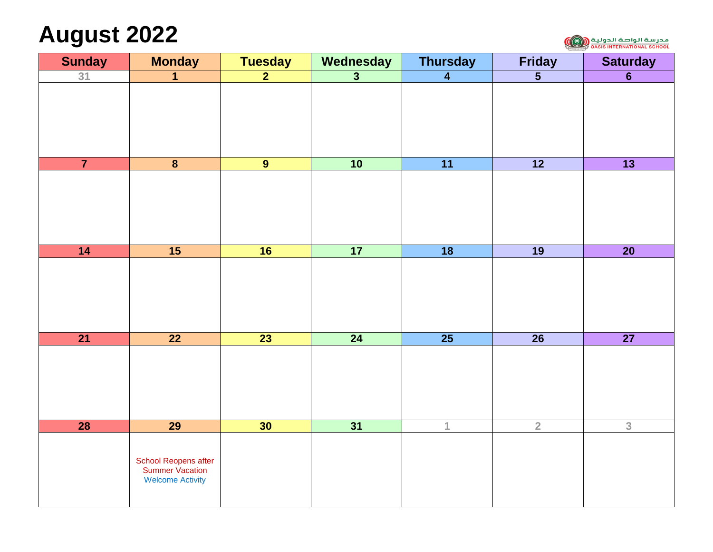## **August 2022**

مدرسة الواصة الدولية <mark>(رانور)</mark><br>مدرسة المراجع الان المراجع اليور)

| <b>Sunday</b>   | <b>Monday</b>                           | <b>Tuesday</b>  | Wednesday               | <b>Thursday</b>         | <b>Friday</b>                      | <b>Saturday</b> |
|-----------------|-----------------------------------------|-----------------|-------------------------|-------------------------|------------------------------------|-----------------|
| 31              | $\mathbf 1$                             | $\overline{2}$  | $\overline{\mathbf{3}}$ | $\overline{\mathbf{4}}$ | $\overline{\overline{\mathbf{5}}}$ | $\overline{6}$  |
|                 |                                         |                 |                         |                         |                                    |                 |
|                 |                                         |                 |                         |                         |                                    |                 |
|                 |                                         |                 |                         |                         |                                    |                 |
|                 |                                         |                 |                         |                         |                                    |                 |
| $\overline{7}$  |                                         |                 |                         |                         |                                    |                 |
|                 | $\overline{\mathbf{8}}$                 | $\overline{9}$  | 10                      | 11                      | $\overline{12}$                    | $\overline{13}$ |
|                 |                                         |                 |                         |                         |                                    |                 |
|                 |                                         |                 |                         |                         |                                    |                 |
|                 |                                         |                 |                         |                         |                                    |                 |
|                 |                                         |                 |                         |                         |                                    |                 |
| $\overline{14}$ | 15                                      | 16              | 17                      | 18                      | $\overline{19}$                    | $\overline{20}$ |
|                 |                                         |                 |                         |                         |                                    |                 |
|                 |                                         |                 |                         |                         |                                    |                 |
|                 |                                         |                 |                         |                         |                                    |                 |
|                 |                                         |                 |                         |                         |                                    |                 |
|                 |                                         |                 |                         |                         |                                    |                 |
| $\overline{21}$ | $\overline{22}$                         | $\overline{23}$ | $\overline{24}$         | $\overline{25}$         | $\overline{26}$                    | $\overline{27}$ |
|                 |                                         |                 |                         |                         |                                    |                 |
|                 |                                         |                 |                         |                         |                                    |                 |
|                 |                                         |                 |                         |                         |                                    |                 |
|                 |                                         |                 |                         |                         |                                    |                 |
| $\overline{28}$ | $\overline{29}$                         | 30              | 31                      | $\mathbf{1}$            | $\overline{2}$                     | $\overline{3}$  |
|                 |                                         |                 |                         |                         |                                    |                 |
|                 |                                         |                 |                         |                         |                                    |                 |
|                 | School Reopens after<br>Summer Vacation |                 |                         |                         |                                    |                 |
|                 | <b>Welcome Activity</b>                 |                 |                         |                         |                                    |                 |
|                 |                                         |                 |                         |                         |                                    |                 |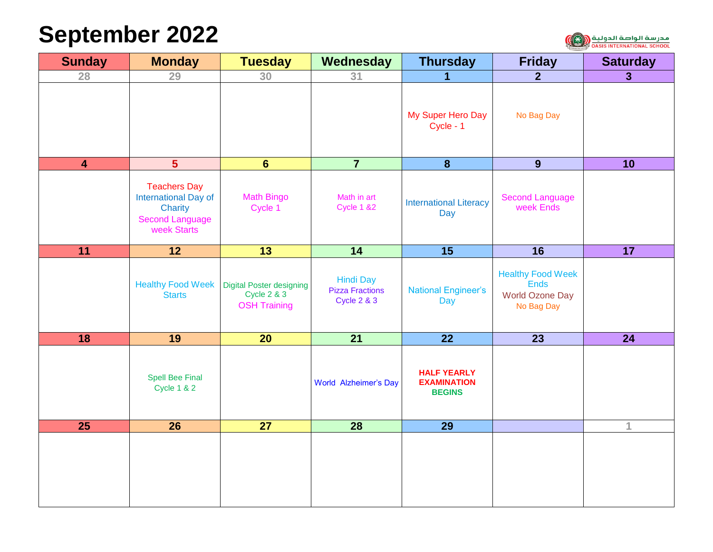# **September 2022**



| <b>Sunday</b>           | <b>Monday</b>                                                                                   | <b>Tuesday</b>                                                                   | Wednesday                                                            | <b>Thursday</b>                                           | <b>Friday</b>                                                                   | <b>Saturday</b> |
|-------------------------|-------------------------------------------------------------------------------------------------|----------------------------------------------------------------------------------|----------------------------------------------------------------------|-----------------------------------------------------------|---------------------------------------------------------------------------------|-----------------|
| 28                      | 29                                                                                              | 30                                                                               | 31                                                                   | 1                                                         | 2 <sup>1</sup>                                                                  | $\overline{3}$  |
|                         |                                                                                                 |                                                                                  |                                                                      | My Super Hero Day<br>Cycle - 1                            | No Bag Day                                                                      |                 |
| $\overline{\mathbf{4}}$ | $5\phantom{a}$                                                                                  | $6\phantom{1}$                                                                   | $\overline{7}$                                                       | $\boldsymbol{8}$                                          | 9                                                                               | 10              |
|                         | <b>Teachers Day</b><br>International Day of<br>Charity<br><b>Second Language</b><br>week Starts | <b>Math Bingo</b><br>Cycle 1                                                     | Math in art<br><b>Cycle 1 &amp;2</b>                                 | <b>International Literacy</b><br>Day                      | <b>Second Language</b><br>week Ends                                             |                 |
| 11                      | $\overline{12}$                                                                                 | $\overline{13}$                                                                  | 14                                                                   | $\overline{15}$                                           | 16                                                                              | 17              |
|                         | <b>Healthy Food Week</b><br><b>Starts</b>                                                       | <b>Digital Poster designing</b><br><b>Cycle 2 &amp; 3</b><br><b>OSH Training</b> | <b>Hindi Day</b><br><b>Pizza Fractions</b><br><b>Cycle 2 &amp; 3</b> | <b>National Engineer's</b><br><b>Day</b>                  | <b>Healthy Food Week</b><br><b>Ends</b><br><b>World Ozone Day</b><br>No Bag Day |                 |
| 18                      | 19                                                                                              | 20 <sub>2</sub>                                                                  | $\overline{21}$                                                      | $\overline{22}$                                           | 23                                                                              | 24              |
|                         | <b>Spell Bee Final</b><br><b>Cycle 1 &amp; 2</b>                                                |                                                                                  | <b>World Alzheimer's Day</b>                                         | <b>HALF YEARLY</b><br><b>EXAMINATION</b><br><b>BEGINS</b> |                                                                                 |                 |
| 25                      | 26                                                                                              | 27                                                                               | 28                                                                   | 29                                                        |                                                                                 | $\mathbf{1}$    |
|                         |                                                                                                 |                                                                                  |                                                                      |                                                           |                                                                                 |                 |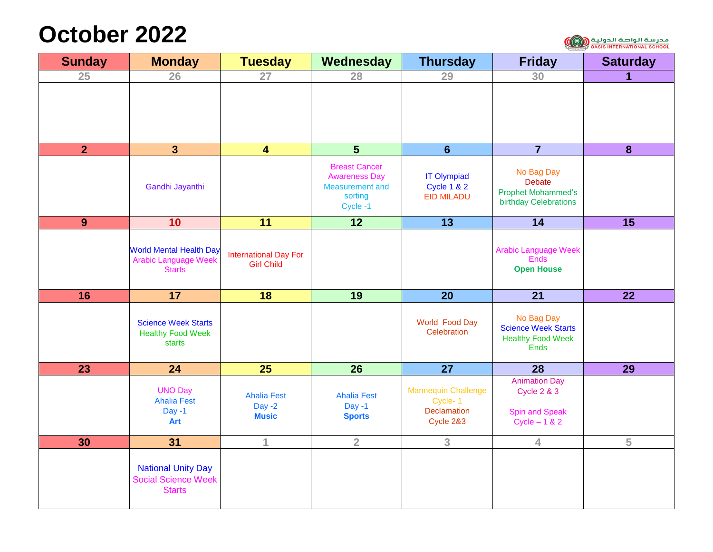## **October 2022**

| <b>Sunday</b>  | <b>Monday</b>                                                                  | <b>Tuesday</b>                                    | Wednesday                                                                                    | <b>Thursday</b>                                                   | <b>Friday</b>                                                                             | <b>Saturday</b> |
|----------------|--------------------------------------------------------------------------------|---------------------------------------------------|----------------------------------------------------------------------------------------------|-------------------------------------------------------------------|-------------------------------------------------------------------------------------------|-----------------|
| 25             | 26                                                                             | 27                                                | 28                                                                                           | 29                                                                | 30                                                                                        | 1               |
|                |                                                                                |                                                   |                                                                                              |                                                                   |                                                                                           |                 |
| $\overline{2}$ | 3 <sup>1</sup>                                                                 | $\overline{\mathbf{4}}$                           | 5                                                                                            | $6\phantom{1}$                                                    | $\overline{7}$                                                                            | 8               |
|                | Gandhi Jayanthi                                                                |                                                   | <b>Breast Cancer</b><br><b>Awareness Day</b><br><b>Measurement and</b><br>sorting<br>Cycle-1 | <b>IT Olympiad</b><br><b>Cycle 1 &amp; 2</b><br><b>EID MILADU</b> | No Bag Day<br><b>Debate</b><br><b>Prophet Mohammed's</b><br>birthday Celebrations         |                 |
| 9              | 10                                                                             | 11                                                | 12                                                                                           | $\overline{13}$                                                   | 14                                                                                        | 15              |
|                | <b>World Mental Health Day</b><br><b>Arabic Language Week</b><br><b>Starts</b> | <b>International Day For</b><br><b>Girl Child</b> |                                                                                              |                                                                   | <b>Arabic Language Week</b><br><b>Ends</b><br><b>Open House</b>                           |                 |
| 16             | 17                                                                             | 18                                                | 19                                                                                           | 20                                                                | 21                                                                                        | $\overline{22}$ |
|                | <b>Science Week Starts</b><br><b>Healthy Food Week</b><br>starts               |                                                   |                                                                                              | World Food Day<br>Celebration                                     | No Bag Day<br><b>Science Week Starts</b><br><b>Healthy Food Week</b><br><b>Ends</b>       |                 |
| 23             | 24                                                                             | 25                                                | 26                                                                                           | 27                                                                | 28                                                                                        | 29              |
|                | <b>UNO Day</b><br><b>Ahalia Fest</b><br>$Day -1$<br>Art                        | <b>Ahalia Fest</b><br>Day $-2$<br><b>Music</b>    | <b>Ahalia Fest</b><br>$Day -1$<br><b>Sports</b>                                              | <b>Mannequin Challenge</b><br>Cycle-1<br>Declamation<br>Cycle 2&3 | <b>Animation Day</b><br><b>Cycle 2 &amp; 3</b><br><b>Spin and Speak</b><br>Cycle $-1 & 2$ |                 |
| 30             | 31                                                                             | 1                                                 | $\overline{2}$                                                                               | 3                                                                 | 4                                                                                         | 5               |
|                | <b>National Unity Day</b><br><b>Social Science Week</b><br><b>Starts</b>       |                                                   |                                                                                              |                                                                   |                                                                                           |                 |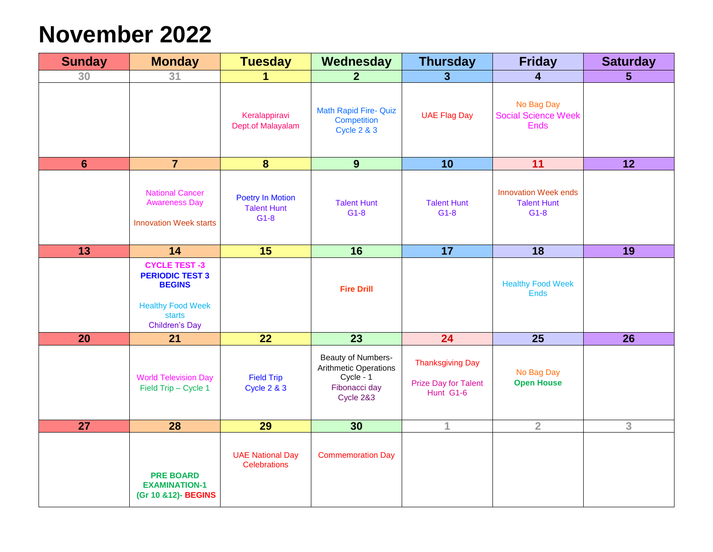## **November 2022**

| <b>Sunday</b>  | <b>Monday</b>                                                                                                                  | <b>Tuesday</b>                                          | Wednesday                                                                              | <b>Thursday</b>                                              | <b>Friday</b>                                               | <b>Saturday</b> |
|----------------|--------------------------------------------------------------------------------------------------------------------------------|---------------------------------------------------------|----------------------------------------------------------------------------------------|--------------------------------------------------------------|-------------------------------------------------------------|-----------------|
| 30             | 31                                                                                                                             |                                                         | $\mathbf{2}$                                                                           | 3 <sup>5</sup>                                               | 4                                                           | 5 <sup>5</sup>  |
|                |                                                                                                                                | Keralappiravi<br>Dept.of Malayalam                      | <b>Math Rapid Fire- Quiz</b><br>Competition<br><b>Cycle 2 &amp; 3</b>                  | <b>UAE Flag Day</b>                                          | No Bag Day<br><b>Social Science Week</b><br><b>Ends</b>     |                 |
| $6\phantom{1}$ | $\overline{7}$                                                                                                                 | $\boldsymbol{8}$                                        | 9                                                                                      | 10                                                           | 11                                                          | 12              |
|                | <b>National Cancer</b><br><b>Awareness Day</b><br><b>Innovation Week starts</b>                                                | <b>Poetry In Motion</b><br><b>Talent Hunt</b><br>$G1-8$ | <b>Talent Hunt</b><br>$G1-8$                                                           | <b>Talent Hunt</b><br>$G1-8$                                 | <b>Innovation Week ends</b><br><b>Talent Hunt</b><br>$G1-8$ |                 |
| 13             | 14                                                                                                                             | $\overline{15}$                                         | 16                                                                                     | $\overline{17}$                                              | $\overline{18}$                                             | 19              |
|                | <b>CYCLE TEST -3</b><br><b>PERIODIC TEST 3</b><br><b>BEGINS</b><br><b>Healthy Food Week</b><br>starts<br><b>Children's Day</b> |                                                         | <b>Fire Drill</b>                                                                      |                                                              | <b>Healthy Food Week</b><br><b>Ends</b>                     |                 |
| 20             | 21                                                                                                                             | 22                                                      | 23                                                                                     | 24                                                           | 25                                                          | 26              |
|                | <b>World Television Day</b><br>Field Trip - Cycle 1                                                                            | <b>Field Trip</b><br><b>Cycle 2 &amp; 3</b>             | Beauty of Numbers-<br>Arithmetic Operations<br>Cycle - 1<br>Fibonacci day<br>Cycle 2&3 | <b>Thanksgiving Day</b><br>Prize Day for Talent<br>Hunt G1-6 | No Bag Day<br><b>Open House</b>                             |                 |
| 27             | 28                                                                                                                             | 29                                                      | 30                                                                                     | 1                                                            | $\overline{2}$                                              | 3               |
|                | <b>PRE BOARD</b><br><b>EXAMINATION-1</b><br>(Gr 10 &12)- BEGINS                                                                | <b>UAE National Day</b><br><b>Celebrations</b>          | <b>Commemoration Day</b>                                                               |                                                              |                                                             |                 |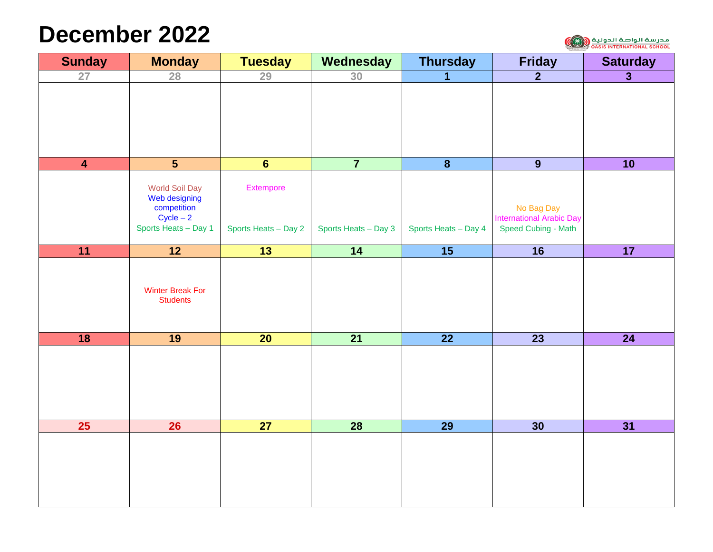### **December 2022**

مدرسة الواصة الدولية (CA) مدرسة الواصة<br><sub>OASIS INTERNATIONAL SCHOOL</sub>

| <b>Sunday</b>           | <b>Monday</b>              | <b>Tuesday</b>       | Wednesday            | <b>Thursday</b>         | <b>Friday</b>                                 | <b>Saturday</b>         |
|-------------------------|----------------------------|----------------------|----------------------|-------------------------|-----------------------------------------------|-------------------------|
| 27                      | 28                         | 29                   | 30                   | 1                       | $\overline{2}$                                | $\overline{\mathbf{3}}$ |
|                         |                            |                      |                      |                         |                                               |                         |
|                         |                            |                      |                      |                         |                                               |                         |
|                         |                            |                      |                      |                         |                                               |                         |
|                         |                            |                      |                      |                         |                                               |                         |
|                         |                            |                      |                      |                         |                                               |                         |
| $\overline{\mathbf{4}}$ | $\overline{\mathbf{5}}$    | $\overline{6}$       | $\overline{7}$       | $\overline{\mathbf{8}}$ | $\overline{9}$                                | 10                      |
|                         | <b>World Soil Day</b>      | Extempore            |                      |                         |                                               |                         |
|                         | Web designing              |                      |                      |                         |                                               |                         |
|                         | competition<br>$Cycle - 2$ |                      |                      |                         | No Bag Day<br><b>International Arabic Day</b> |                         |
|                         | Sports Heats - Day 1       | Sports Heats - Day 2 | Sports Heats - Day 3 | Sports Heats - Day 4    | Speed Cubing - Math                           |                         |
| 11                      | $\overline{12}$            | $\overline{13}$      | $\overline{14}$      | $\overline{15}$         | $\overline{16}$                               | 17                      |
|                         |                            |                      |                      |                         |                                               |                         |
|                         |                            |                      |                      |                         |                                               |                         |
|                         | <b>Winter Break For</b>    |                      |                      |                         |                                               |                         |
|                         | <b>Students</b>            |                      |                      |                         |                                               |                         |
|                         |                            |                      |                      |                         |                                               |                         |
| 18                      | 19                         | $\overline{20}$      | $\overline{21}$      | $\overline{22}$         | $\overline{23}$                               | $\overline{24}$         |
|                         |                            |                      |                      |                         |                                               |                         |
|                         |                            |                      |                      |                         |                                               |                         |
|                         |                            |                      |                      |                         |                                               |                         |
|                         |                            |                      |                      |                         |                                               |                         |
|                         |                            |                      |                      |                         |                                               |                         |
| 25                      | 26                         | $\overline{27}$      | $\overline{28}$      | $\overline{29}$         | 30                                            | 31                      |
|                         |                            |                      |                      |                         |                                               |                         |
|                         |                            |                      |                      |                         |                                               |                         |
|                         |                            |                      |                      |                         |                                               |                         |
|                         |                            |                      |                      |                         |                                               |                         |
|                         |                            |                      |                      |                         |                                               |                         |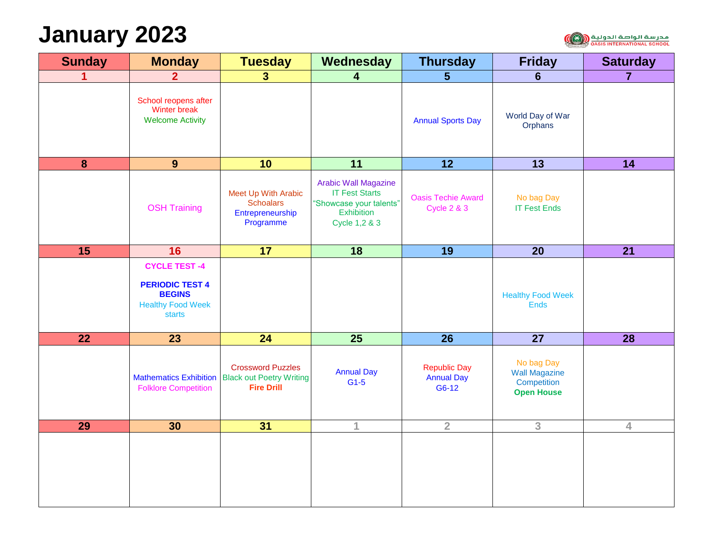## **January 2023**



| <b>Sunday</b>    | <b>Monday</b>                                                                                               | <b>Tuesday</b>                                                                                   | Wednesday                                                                                                      | <b>Thursday</b>                                     | <b>Friday</b>                                                          | <b>Saturday</b> |
|------------------|-------------------------------------------------------------------------------------------------------------|--------------------------------------------------------------------------------------------------|----------------------------------------------------------------------------------------------------------------|-----------------------------------------------------|------------------------------------------------------------------------|-----------------|
| 1                | 2 <sup>1</sup>                                                                                              | 3 <sup>1</sup>                                                                                   | 4                                                                                                              | $5\phantom{1}$                                      | 6                                                                      | $\overline{7}$  |
|                  | School reopens after<br>Winter break<br><b>Welcome Activity</b>                                             |                                                                                                  |                                                                                                                | <b>Annual Sports Day</b>                            | World Day of War<br>Orphans                                            |                 |
| $\boldsymbol{8}$ | 9                                                                                                           | 10                                                                                               | 11                                                                                                             | 12                                                  | 13                                                                     | 14              |
|                  | <b>OSH Training</b>                                                                                         | Meet Up With Arabic<br><b>Schoalars</b><br>Entrepreneurship<br>Programme                         | <b>Arabic Wall Magazine</b><br><b>IT Fest Starts</b><br>"Showcase your talents"<br>Exhibition<br>Cycle 1,2 & 3 | <b>Oasis Techie Award</b><br><b>Cycle 2 &amp; 3</b> | No bag Day<br><b>IT Fest Ends</b>                                      |                 |
| 15               | 16                                                                                                          | 17                                                                                               | $\overline{18}$                                                                                                | $\overline{19}$                                     | $\overline{20}$                                                        | $\overline{21}$ |
|                  | <b>CYCLE TEST-4</b><br><b>PERIODIC TEST 4</b><br><b>BEGINS</b><br><b>Healthy Food Week</b><br><b>starts</b> |                                                                                                  |                                                                                                                |                                                     | <b>Healthy Food Week</b><br><b>Ends</b>                                |                 |
| 22               | 23                                                                                                          | 24                                                                                               | 25                                                                                                             | 26                                                  | $\overline{27}$                                                        | 28              |
|                  | <b>Folklore Competition</b>                                                                                 | <b>Crossword Puzzles</b><br>Mathematics Exhibition Black out Poetry Writing<br><b>Fire Drill</b> | <b>Annual Day</b><br>$G1-5$                                                                                    | <b>Republic Day</b><br><b>Annual Day</b><br>G6-12   | No bag Day<br><b>Wall Magazine</b><br>Competition<br><b>Open House</b> |                 |
| 29               | 30                                                                                                          | 31                                                                                               | 1                                                                                                              | $\overline{2}$                                      | 3                                                                      | $\overline{4}$  |
|                  |                                                                                                             |                                                                                                  |                                                                                                                |                                                     |                                                                        |                 |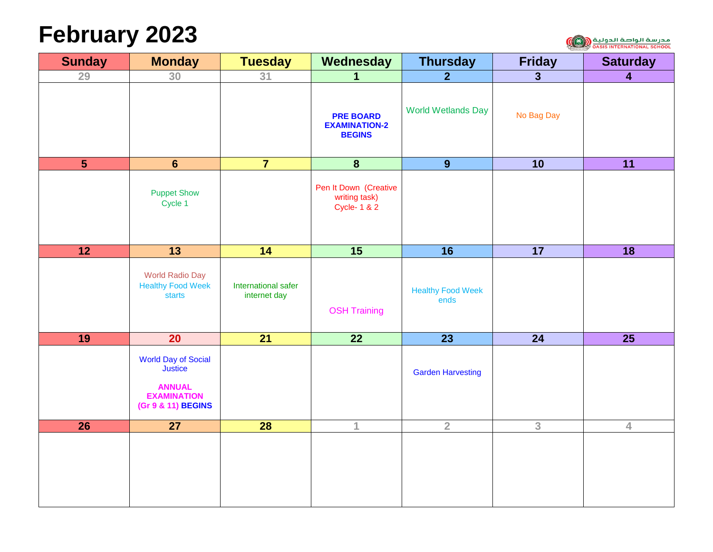# **February 2023**



| <b>Sunday</b>   | <b>Monday</b>                                                                                             | <b>Tuesday</b>                      | Wednesday                                                      | <b>Thursday</b>                  | <b>Friday</b>           | <b>Saturday</b>         |
|-----------------|-----------------------------------------------------------------------------------------------------------|-------------------------------------|----------------------------------------------------------------|----------------------------------|-------------------------|-------------------------|
| 29              | 30                                                                                                        | 31                                  | $\mathbf 1$                                                    | 2 <sup>1</sup>                   | $\overline{\mathbf{3}}$ | $\overline{\mathbf{4}}$ |
|                 |                                                                                                           |                                     | <b>PRE BOARD</b><br><b>EXAMINATION-2</b><br><b>BEGINS</b>      | <b>World Wetlands Day</b>        | No Bag Day              |                         |
| $5\phantom{1}$  | $6\phantom{1}$                                                                                            | $\overline{7}$                      | $\boldsymbol{8}$                                               | 9                                | 10                      | 11                      |
|                 | <b>Puppet Show</b><br>Cycle 1                                                                             |                                     | Pen It Down (Creative<br>writing task)<br><b>Cycle-1&amp;2</b> |                                  |                         |                         |
| $\overline{12}$ | $\overline{13}$                                                                                           | 14                                  | $\overline{15}$                                                | $\overline{16}$                  | 17                      | $\overline{18}$         |
|                 | <b>World Radio Day</b><br><b>Healthy Food Week</b><br>starts                                              | International safer<br>internet day | <b>OSH Training</b>                                            | <b>Healthy Food Week</b><br>ends |                         |                         |
| 19              | 20 <sub>2</sub>                                                                                           | $\overline{21}$                     | $\overline{22}$                                                | 23                               | 24                      | 25                      |
|                 | <b>World Day of Social</b><br><b>Justice</b><br><b>ANNUAL</b><br><b>EXAMINATION</b><br>(Gr 9 & 11) BEGINS |                                     |                                                                | <b>Garden Harvesting</b>         |                         |                         |
| $\overline{26}$ | $\overline{27}$                                                                                           | 28                                  | $\mathbf{1}$                                                   | $\overline{2}$                   | 3                       | $\overline{4}$          |
|                 |                                                                                                           |                                     |                                                                |                                  |                         |                         |